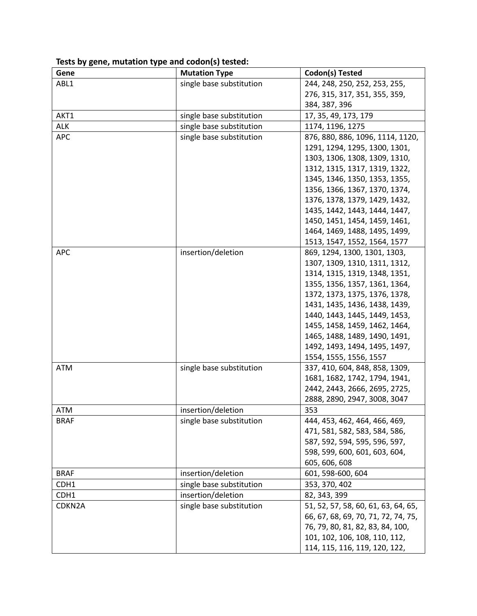| Gene        | <b>Mutation Type</b>     | Codon(s) Tested                     |
|-------------|--------------------------|-------------------------------------|
| ABL1        | single base substitution | 244, 248, 250, 252, 253, 255,       |
|             |                          | 276, 315, 317, 351, 355, 359,       |
|             |                          | 384, 387, 396                       |
| AKT1        | single base substitution | 17, 35, 49, 173, 179                |
| <b>ALK</b>  | single base substitution | 1174, 1196, 1275                    |
| <b>APC</b>  | single base substitution | 876, 880, 886, 1096, 1114, 1120,    |
|             |                          | 1291, 1294, 1295, 1300, 1301,       |
|             |                          | 1303, 1306, 1308, 1309, 1310,       |
|             |                          | 1312, 1315, 1317, 1319, 1322,       |
|             |                          | 1345, 1346, 1350, 1353, 1355,       |
|             |                          | 1356, 1366, 1367, 1370, 1374,       |
|             |                          | 1376, 1378, 1379, 1429, 1432,       |
|             |                          | 1435, 1442, 1443, 1444, 1447,       |
|             |                          | 1450, 1451, 1454, 1459, 1461,       |
|             |                          | 1464, 1469, 1488, 1495, 1499,       |
|             |                          | 1513, 1547, 1552, 1564, 1577        |
| <b>APC</b>  | insertion/deletion       | 869, 1294, 1300, 1301, 1303,        |
|             |                          | 1307, 1309, 1310, 1311, 1312,       |
|             |                          | 1314, 1315, 1319, 1348, 1351,       |
|             |                          | 1355, 1356, 1357, 1361, 1364,       |
|             |                          | 1372, 1373, 1375, 1376, 1378,       |
|             |                          | 1431, 1435, 1436, 1438, 1439,       |
|             |                          | 1440, 1443, 1445, 1449, 1453,       |
|             |                          | 1455, 1458, 1459, 1462, 1464,       |
|             |                          | 1465, 1488, 1489, 1490, 1491,       |
|             |                          | 1492, 1493, 1494, 1495, 1497,       |
|             |                          | 1554, 1555, 1556, 1557              |
| <b>ATM</b>  | single base substitution | 337, 410, 604, 848, 858, 1309,      |
|             |                          | 1681, 1682, 1742, 1794, 1941,       |
|             |                          | 2442, 2443, 2666, 2695, 2725,       |
|             |                          | 2888, 2890, 2947, 3008, 3047        |
| <b>ATM</b>  | insertion/deletion       | 353                                 |
| <b>BRAF</b> | single base substitution | 444, 453, 462, 464, 466, 469,       |
|             |                          | 471, 581, 582, 583, 584, 586,       |
|             |                          | 587, 592, 594, 595, 596, 597,       |
|             |                          | 598, 599, 600, 601, 603, 604,       |
|             |                          | 605, 606, 608                       |
| <b>BRAF</b> | insertion/deletion       | 601, 598-600, 604                   |
| CDH1        | single base substitution | 353, 370, 402                       |
| CDH1        | insertion/deletion       | 82, 343, 399                        |
| CDKN2A      | single base substitution | 51, 52, 57, 58, 60, 61, 63, 64, 65, |
|             |                          | 66, 67, 68, 69, 70, 71, 72, 74, 75, |
|             |                          | 76, 79, 80, 81, 82, 83, 84, 100,    |
|             |                          | 101, 102, 106, 108, 110, 112,       |
|             |                          | 114, 115, 116, 119, 120, 122,       |

**Tests by gene, mutation type and codon(s) tested:**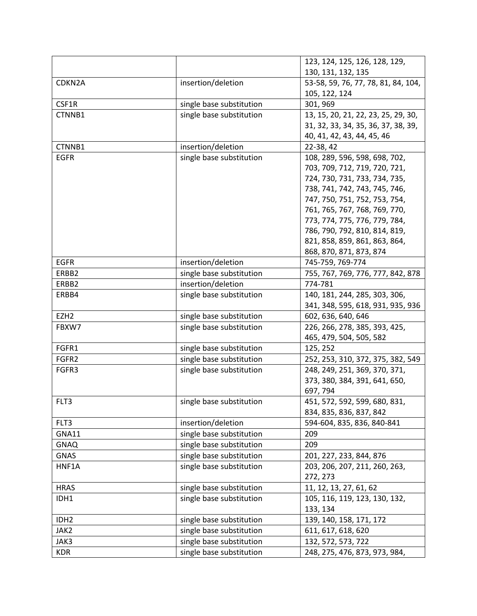|                  |                          | 123, 124, 125, 126, 128, 129,       |
|------------------|--------------------------|-------------------------------------|
|                  |                          | 130, 131, 132, 135                  |
| CDKN2A           | insertion/deletion       | 53-58, 59, 76, 77, 78, 81, 84, 104, |
|                  |                          | 105, 122, 124                       |
| CSF1R            | single base substitution | 301, 969                            |
| CTNNB1           | single base substitution | 13, 15, 20, 21, 22, 23, 25, 29, 30, |
|                  |                          | 31, 32, 33, 34, 35, 36, 37, 38, 39, |
|                  |                          | 40, 41, 42, 43, 44, 45, 46          |
| CTNNB1           | insertion/deletion       | 22-38, 42                           |
| <b>EGFR</b>      | single base substitution | 108, 289, 596, 598, 698, 702,       |
|                  |                          | 703, 709, 712, 719, 720, 721,       |
|                  |                          | 724, 730, 731, 733, 734, 735,       |
|                  |                          | 738, 741, 742, 743, 745, 746,       |
|                  |                          | 747, 750, 751, 752, 753, 754,       |
|                  |                          | 761, 765, 767, 768, 769, 770,       |
|                  |                          | 773, 774, 775, 776, 779, 784,       |
|                  |                          | 786, 790, 792, 810, 814, 819,       |
|                  |                          | 821, 858, 859, 861, 863, 864,       |
|                  |                          | 868, 870, 871, 873, 874             |
| <b>EGFR</b>      | insertion/deletion       | 745-759, 769-774                    |
| ERBB2            | single base substitution | 755, 767, 769, 776, 777, 842, 878   |
| ERBB2            | insertion/deletion       | 774-781                             |
| ERBB4            | single base substitution | 140, 181, 244, 285, 303, 306,       |
|                  |                          | 341, 348, 595, 618, 931, 935, 936   |
| EZH <sub>2</sub> | single base substitution | 602, 636, 640, 646                  |
| FBXW7            | single base substitution | 226, 266, 278, 385, 393, 425,       |
|                  |                          | 465, 479, 504, 505, 582             |
| FGFR1            | single base substitution | 125, 252                            |
| FGFR2            | single base substitution | 252, 253, 310, 372, 375, 382, 549   |
| FGFR3            | single base substitution | 248, 249, 251, 369, 370, 371,       |
|                  |                          | 373, 380, 384, 391, 641, 650,       |
|                  |                          | 697,794                             |
| FLT3             | single base substitution | 451, 572, 592, 599, 680, 831,       |
|                  |                          | 834, 835, 836, 837, 842             |
| FLT3             | insertion/deletion       | 594-604, 835, 836, 840-841          |
| GNA11            | single base substitution | 209                                 |
| <b>GNAQ</b>      | single base substitution | 209                                 |
| <b>GNAS</b>      | single base substitution | 201, 227, 233, 844, 876             |
| HNF1A            | single base substitution | 203, 206, 207, 211, 260, 263,       |
|                  |                          | 272, 273                            |
| <b>HRAS</b>      | single base substitution | 11, 12, 13, 27, 61, 62              |
| IDH1             | single base substitution | 105, 116, 119, 123, 130, 132,       |
|                  |                          | 133, 134                            |
| IDH <sub>2</sub> | single base substitution | 139, 140, 158, 171, 172             |
| JAK2             | single base substitution | 611, 617, 618, 620                  |
| JAK3             | single base substitution | 132, 572, 573, 722                  |
| <b>KDR</b>       | single base substitution | 248, 275, 476, 873, 973, 984,       |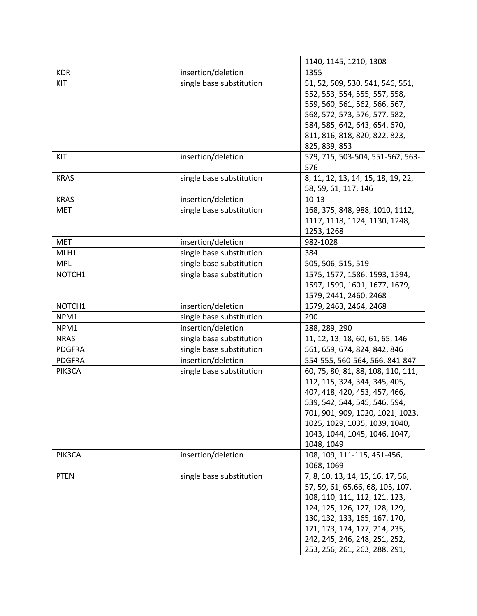|               |                          | 1140, 1145, 1210, 1308                                                                                                                                                                                                                                                       |
|---------------|--------------------------|------------------------------------------------------------------------------------------------------------------------------------------------------------------------------------------------------------------------------------------------------------------------------|
| <b>KDR</b>    | insertion/deletion       | 1355                                                                                                                                                                                                                                                                         |
| KIT           | single base substitution | 51, 52, 509, 530, 541, 546, 551,<br>552, 553, 554, 555, 557, 558,<br>559, 560, 561, 562, 566, 567,<br>568, 572, 573, 576, 577, 582,<br>584, 585, 642, 643, 654, 670,                                                                                                         |
|               |                          | 811, 816, 818, 820, 822, 823,<br>825, 839, 853                                                                                                                                                                                                                               |
| KIT           | insertion/deletion       | 579, 715, 503-504, 551-562, 563-<br>576                                                                                                                                                                                                                                      |
| <b>KRAS</b>   | single base substitution | 8, 11, 12, 13, 14, 15, 18, 19, 22,<br>58, 59, 61, 117, 146                                                                                                                                                                                                                   |
| <b>KRAS</b>   | insertion/deletion       | $10-13$                                                                                                                                                                                                                                                                      |
| <b>MET</b>    | single base substitution | 168, 375, 848, 988, 1010, 1112,<br>1117, 1118, 1124, 1130, 1248,<br>1253, 1268                                                                                                                                                                                               |
| <b>MET</b>    | insertion/deletion       | 982-1028                                                                                                                                                                                                                                                                     |
| MLH1          | single base substitution | 384                                                                                                                                                                                                                                                                          |
| <b>MPL</b>    | single base substitution | 505, 506, 515, 519                                                                                                                                                                                                                                                           |
| NOTCH1        | single base substitution | 1575, 1577, 1586, 1593, 1594,<br>1597, 1599, 1601, 1677, 1679,<br>1579, 2441, 2460, 2468                                                                                                                                                                                     |
| NOTCH1        | insertion/deletion       | 1579, 2463, 2464, 2468                                                                                                                                                                                                                                                       |
| NPM1          | single base substitution | 290                                                                                                                                                                                                                                                                          |
| NPM1          | insertion/deletion       | 288, 289, 290                                                                                                                                                                                                                                                                |
| <b>NRAS</b>   | single base substitution | 11, 12, 13, 18, 60, 61, 65, 146                                                                                                                                                                                                                                              |
| <b>PDGFRA</b> | single base substitution | 561, 659, 674, 824, 842, 846                                                                                                                                                                                                                                                 |
| <b>PDGFRA</b> | insertion/deletion       | 554-555, 560-564, 566, 841-847                                                                                                                                                                                                                                               |
| PIK3CA        | single base substitution | 60, 75, 80, 81, 88, 108, 110, 111,<br>112, 115, 324, 344, 345, 405,<br>407, 418, 420, 453, 457, 466,<br>539, 542, 544, 545, 546, 594,<br>701, 901, 909, 1020, 1021, 1023,<br>1025, 1029, 1035, 1039, 1040,<br>1043, 1044, 1045, 1046, 1047,<br>1048, 1049                    |
| PIK3CA        | insertion/deletion       | 108, 109, 111-115, 451-456,<br>1068, 1069                                                                                                                                                                                                                                    |
| <b>PTEN</b>   | single base substitution | 7, 8, 10, 13, 14, 15, 16, 17, 56,<br>57, 59, 61, 65, 66, 68, 105, 107,<br>108, 110, 111, 112, 121, 123,<br>124, 125, 126, 127, 128, 129,<br>130, 132, 133, 165, 167, 170,<br>171, 173, 174, 177, 214, 235,<br>242, 245, 246, 248, 251, 252,<br>253, 256, 261, 263, 288, 291, |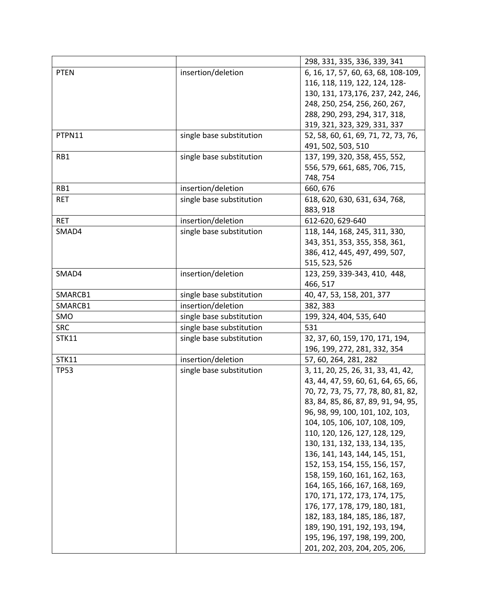|              |                          | 298, 331, 335, 336, 339, 341        |
|--------------|--------------------------|-------------------------------------|
| <b>PTEN</b>  | insertion/deletion       | 6, 16, 17, 57, 60, 63, 68, 108-109, |
|              |                          | 116, 118, 119, 122, 124, 128-       |
|              |                          | 130, 131, 173, 176, 237, 242, 246,  |
|              |                          | 248, 250, 254, 256, 260, 267,       |
|              |                          | 288, 290, 293, 294, 317, 318,       |
|              |                          | 319, 321, 323, 329, 331, 337        |
| PTPN11       | single base substitution | 52, 58, 60, 61, 69, 71, 72, 73, 76, |
|              |                          | 491, 502, 503, 510                  |
| RB1          | single base substitution | 137, 199, 320, 358, 455, 552,       |
|              |                          | 556, 579, 661, 685, 706, 715,       |
|              |                          | 748, 754                            |
| RB1          | insertion/deletion       | 660, 676                            |
| <b>RET</b>   | single base substitution | 618, 620, 630, 631, 634, 768,       |
|              |                          | 883, 918                            |
| <b>RET</b>   | insertion/deletion       | 612-620, 629-640                    |
| SMAD4        | single base substitution | 118, 144, 168, 245, 311, 330,       |
|              |                          | 343, 351, 353, 355, 358, 361,       |
|              |                          | 386, 412, 445, 497, 499, 507,       |
|              |                          | 515, 523, 526                       |
| SMAD4        | insertion/deletion       | 123, 259, 339-343, 410, 448,        |
|              |                          | 466, 517                            |
| SMARCB1      | single base substitution | 40, 47, 53, 158, 201, 377           |
| SMARCB1      | insertion/deletion       | 382, 383                            |
| SMO          | single base substitution | 199, 324, 404, 535, 640             |
| <b>SRC</b>   | single base substitution | 531                                 |
| <b>STK11</b> | single base substitution | 32, 37, 60, 159, 170, 171, 194,     |
|              |                          | 196, 199, 272, 281, 332, 354        |
| <b>STK11</b> | insertion/deletion       | 57, 60, 264, 281, 282               |
| <b>TP53</b>  | single base substitution | 3, 11, 20, 25, 26, 31, 33, 41, 42,  |
|              |                          | 43, 44, 47, 59, 60, 61, 64, 65, 66, |
|              |                          | 70, 72, 73, 75, 77, 78, 80, 81, 82, |
|              |                          | 83, 84, 85, 86, 87, 89, 91, 94, 95, |
|              |                          | 96, 98, 99, 100, 101, 102, 103,     |
|              |                          | 104, 105, 106, 107, 108, 109,       |
|              |                          | 110, 120, 126, 127, 128, 129,       |
|              |                          | 130, 131, 132, 133, 134, 135,       |
|              |                          | 136, 141, 143, 144, 145, 151,       |
|              |                          | 152, 153, 154, 155, 156, 157,       |
|              |                          | 158, 159, 160, 161, 162, 163,       |
|              |                          | 164, 165, 166, 167, 168, 169,       |
|              |                          | 170, 171, 172, 173, 174, 175,       |
|              |                          | 176, 177, 178, 179, 180, 181,       |
|              |                          | 182, 183, 184, 185, 186, 187,       |
|              |                          | 189, 190, 191, 192, 193, 194,       |
|              |                          | 195, 196, 197, 198, 199, 200,       |
|              |                          | 201, 202, 203, 204, 205, 206,       |
|              |                          |                                     |